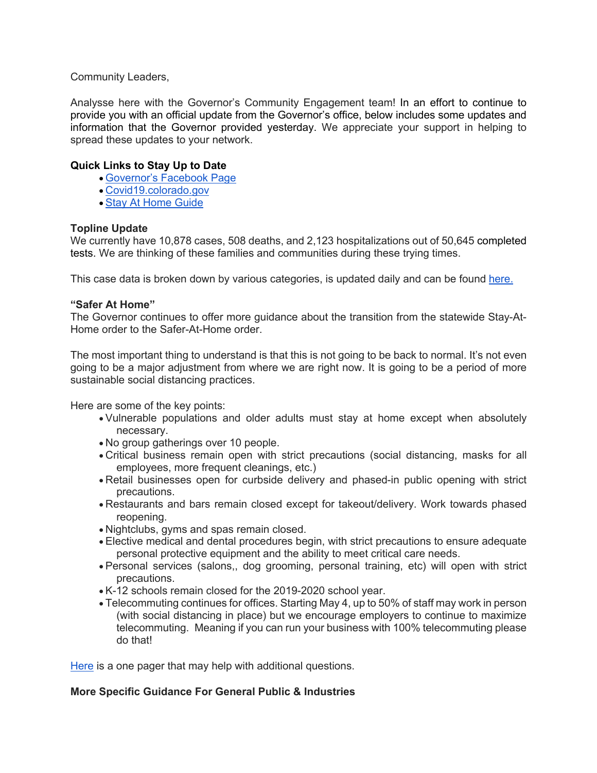Community Leaders,

Analysse here with the Governor's Community Engagement team! In an effort to continue to provide you with an official update from the Governor's office, below includes some updates and information that the Governor provided yesterday. We appreciate your support in helping to spread these updates to your network.

# **Quick Links to Stay Up to Date**

- Governor's Facebook Page
- Covid19.colorado.gov
- Stay At Home Guide

# **Topline Update**

We currently have 10,878 cases, 508 deaths, and 2,123 hospitalizations out of 50,645 completed tests. We are thinking of these families and communities during these trying times.

This case data is broken down by various categories, is updated daily and can be found here.

# **"Safer At Home"**

The Governor continues to offer more guidance about the transition from the statewide Stay-At-Home order to the Safer-At-Home order.

The most important thing to understand is that this is not going to be back to normal. It's not even going to be a major adjustment from where we are right now. It is going to be a period of more sustainable social distancing practices.

Here are some of the key points:

- Vulnerable populations and older adults must stay at home except when absolutely necessary.
- No group gatherings over 10 people.
- Critical business remain open with strict precautions (social distancing, masks for all employees, more frequent cleanings, etc.)
- Retail businesses open for curbside delivery and phased-in public opening with strict precautions.
- Restaurants and bars remain closed except for takeout/delivery. Work towards phased reopening.
- Nightclubs, gyms and spas remain closed.
- Elective medical and dental procedures begin, with strict precautions to ensure adequate personal protective equipment and the ability to meet critical care needs.
- Personal services (salons,, dog grooming, personal training, etc) will open with strict precautions.
- K-12 schools remain closed for the 2019-2020 school year.
- Telecommuting continues for offices. Starting May 4, up to 50% of staff may work in person (with social distancing in place) but we encourage employers to continue to maximize telecommuting. Meaning if you can run your business with 100% telecommuting please do that!

Here is a one pager that may help with additional questions.

# **More Specific Guidance For General Public & Industries**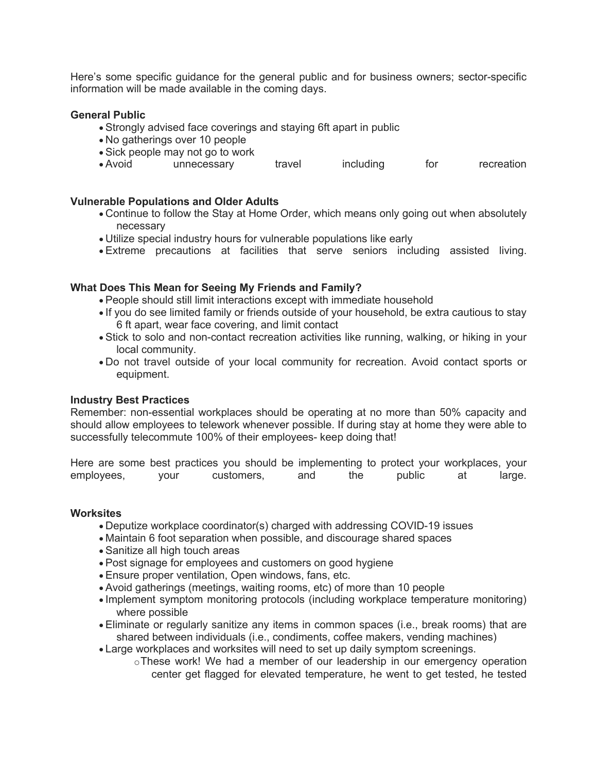Here's some specific guidance for the general public and for business owners; sector-specific information will be made available in the coming days.

# **General Public**

- Strongly advised face coverings and staying 6ft apart in public
- No gatherings over 10 people
- Sick people may not go to work
- Avoid unnecessary travel including for recreation

# **Vulnerable Populations and Older Adults**

- Continue to follow the Stay at Home Order, which means only going out when absolutely necessary
- Utilize special industry hours for vulnerable populations like early
- Extreme precautions at facilities that serve seniors including assisted living.

# **What Does This Mean for Seeing My Friends and Family?**

- People should still limit interactions except with immediate household
- If you do see limited family or friends outside of your household, be extra cautious to stay 6 ft apart, wear face covering, and limit contact
- Stick to solo and non-contact recreation activities like running, walking, or hiking in your local community.
- Do not travel outside of your local community for recreation. Avoid contact sports or equipment.

#### **Industry Best Practices**

Remember: non-essential workplaces should be operating at no more than 50% capacity and should allow employees to telework whenever possible. If during stay at home they were able to successfully telecommute 100% of their employees- keep doing that!

Here are some best practices you should be implementing to protect your workplaces, your employees, your customers, and the public at large. employees, your customers, and the public at large.

#### **Worksites**

- Deputize workplace coordinator(s) charged with addressing COVID-19 issues
- Maintain 6 foot separation when possible, and discourage shared spaces
- Sanitize all high touch areas
- Post signage for employees and customers on good hygiene
- Ensure proper ventilation, Open windows, fans, etc.
- Avoid gatherings (meetings, waiting rooms, etc) of more than 10 people
- Implement symptom monitoring protocols (including workplace temperature monitoring) where possible
- Eliminate or regularly sanitize any items in common spaces (i.e., break rooms) that are shared between individuals (i.e., condiments, coffee makers, vending machines)
- Large workplaces and worksites will need to set up daily symptom screenings.
	- oThese work! We had a member of our leadership in our emergency operation center get flagged for elevated temperature, he went to get tested, he tested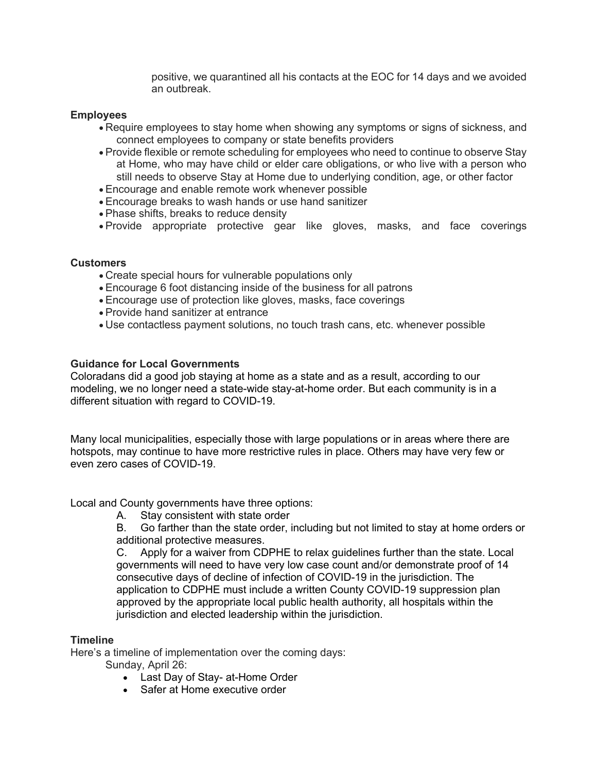positive, we quarantined all his contacts at the EOC for 14 days and we avoided an outbreak.

# **Employees**

- Require employees to stay home when showing any symptoms or signs of sickness, and connect employees to company or state benefits providers
- Provide flexible or remote scheduling for employees who need to continue to observe Stay at Home, who may have child or elder care obligations, or who live with a person who still needs to observe Stay at Home due to underlying condition, age, or other factor
- Encourage and enable remote work whenever possible
- Encourage breaks to wash hands or use hand sanitizer
- Phase shifts, breaks to reduce density
- Provide appropriate protective gear like gloves, masks, and face coverings

# **Customers**

- Create special hours for vulnerable populations only
- Encourage 6 foot distancing inside of the business for all patrons
- Encourage use of protection like gloves, masks, face coverings
- Provide hand sanitizer at entrance
- Use contactless payment solutions, no touch trash cans, etc. whenever possible

# **Guidance for Local Governments**

Coloradans did a good job staying at home as a state and as a result, according to our modeling, we no longer need a state-wide stay-at-home order. But each community is in a different situation with regard to COVID-19.

Many local municipalities, especially those with large populations or in areas where there are hotspots, may continue to have more restrictive rules in place. Others may have very few or even zero cases of COVID-19.

Local and County governments have three options:

A. Stay consistent with state order

B. Go farther than the state order, including but not limited to stay at home orders or additional protective measures.

C. Apply for a waiver from CDPHE to relax guidelines further than the state. Local governments will need to have very low case count and/or demonstrate proof of 14 consecutive days of decline of infection of COVID-19 in the jurisdiction. The application to CDPHE must include a written County COVID-19 suppression plan approved by the appropriate local public health authority, all hospitals within the jurisdiction and elected leadership within the jurisdiction.

# **Timeline**

Here's a timeline of implementation over the coming days:

Sunday, April 26:

- Last Day of Stay- at-Home Order
- Safer at Home executive order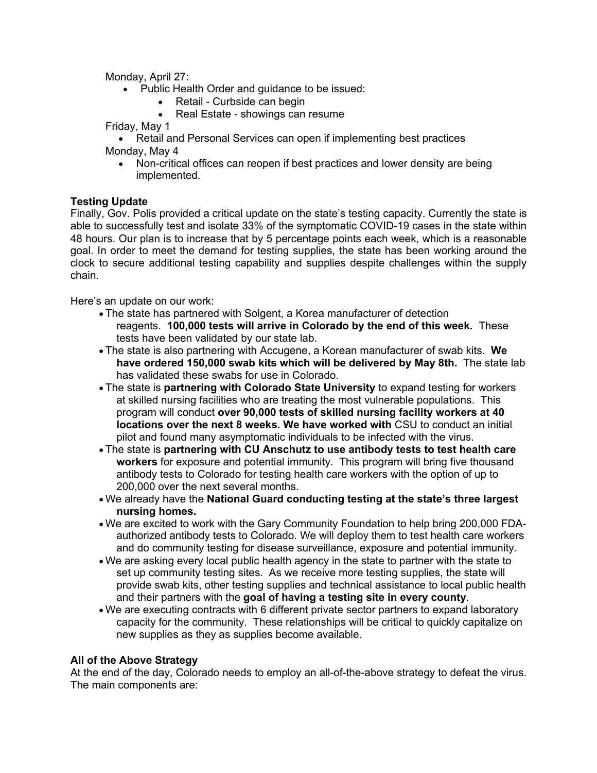Monday, April 27:

- Public Health Order and guidance to be issued:
	- Retail Curbside can begin
	- Real Estate showings can resume

Friday, May 1

• Retail and Personal Services can open if implementing best practices Monday, May 4

• Non-critical offices can reopen if best practices and lower density are being implemented.

# **Testing Update**

Finally, Gov. Polis provided a critical update on the state's testing capacity. Currently the state is able to successfully test and isolate 33% of the symptomatic COVID-19 cases in the state within 48 hours. Our plan is to increase that by 5 percentage points each week, which is a reasonable goal. In order to meet the demand for testing supplies, the state has been working around the clock to secure additional testing capability and supplies despite challenges within the supply chain.

Here's an update on our work:

- The state has partnered with Solgent, a Korea manufacturer of detection reagents. **100,000 tests will arrive in Colorado by the end of this week.** These tests have been validated by our state lab.
- The state is also partnering with Accugene, a Korean manufacturer of swab kits. **We have ordered 150,000 swab kits which will be delivered by May 8th.** The state lab has validated these swabs for use in Colorado.
- The state is **partnering with Colorado State University** to expand testing for workers at skilled nursing facilities who are treating the most vulnerable populations. This program will conduct **over 90,000 tests of skilled nursing facility workers at 40 locations over the next 8 weeks. We have worked with** CSU to conduct an initial pilot and found many asymptomatic individuals to be infected with the virus.
- The state is **partnering with CU Anschutz to use antibody tests to test health care workers** for exposure and potential immunity. This program will bring five thousand antibody tests to Colorado for testing health care workers with the option of up to 200,000 over the next several months.
- We already have the **National Guard conducting testing at the state's three largest nursing homes.**
- We are excited to work with the Gary Community Foundation to help bring 200,000 FDAauthorized antibody tests to Colorado. We will deploy them to test health care workers and do community testing for disease surveillance, exposure and potential immunity.
- We are asking every local public health agency in the state to partner with the state to set up community testing sites. As we receive more testing supplies, the state will provide swab kits, other testing supplies and technical assistance to local public health and their partners with the **goal of having a testing site in every county**.
- We are executing contracts with 6 different private sector partners to expand laboratory capacity for the community. These relationships will be critical to quickly capitalize on new supplies as they as supplies become available.

# **All of the Above Strategy**

At the end of the day, Colorado needs to employ an all-of-the-above strategy to defeat the virus. The main components are: